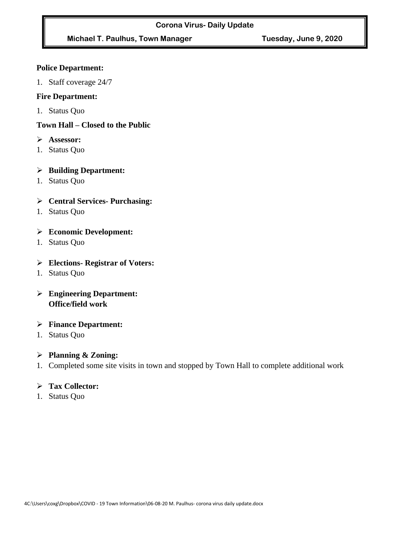# **Michael T. Paulhus, Town Manager Tuesday, June 9, 2020**

#### **Police Department:**

1. Staff coverage 24/7

#### **Fire Department:**

1. Status Quo

#### **Town Hall – Closed to the Public**

- ➢ **Assessor:**
- 1. Status Quo

### ➢ **Building Department:**

1. Status Quo

### ➢ **Central Services- Purchasing:**

1. Status Quo

#### ➢ **Economic Development:**

1. Status Quo

#### ➢ **Elections- Registrar of Voters:**

1. Status Quo

# ➢ **Engineering Department: Office/field work**

#### ➢ **Finance Department:**

1. Status Quo

#### ➢ **Planning & Zoning:**

1. Completed some site visits in town and stopped by Town Hall to complete additional work

#### ➢ **Tax Collector:**

1. Status Quo